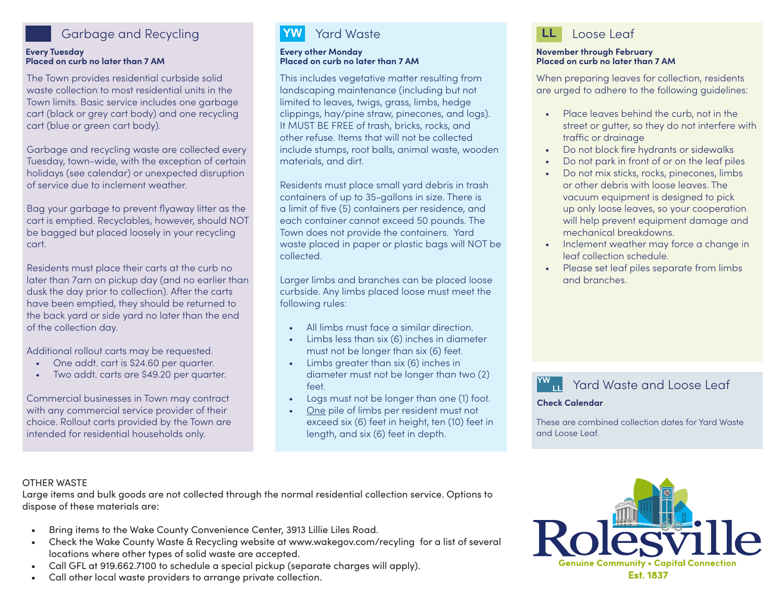## Garbage and Recycling **LL** Loose Leaf

#### **Every Tuesday Placed on curb no later than 7 AM**

The Town provides residential curbside solid waste collection to most residential units in the Town limits. Basic service includes one garbage cart (black or grey cart body) and one recycling cart (blue or green cart body).

Garbage and recycling waste are collected every Tuesday, town-wide, with the exception of certain holidays (see calendar) or unexpected disruption of service due to inclement weather.

Bag your garbage to prevent flyaway litter as the cart is emptied. Recyclables, however, should NOT be bagged but placed loosely in your recycling cart.

Residents must place their carts at the curb no later than 7am on pickup day (and no earlier than dusk the day prior to collection). After the carts have been emptied, they should be returned to the back yard or side yard no later than the end of the collection day.

Additional rollout carts may be requested.

- One addt. cart is \$24.60 per quarter.
- Two addt. carts are \$49.20 per quarter.

Commercial businesses in Town may contract with any commercial service provider of their choice. Rollout carts provided by the Town are intended for residential households only.

# Yard Waste

#### **Every other Monday Placed on curb no later than 7 AM**

This includes vegetative matter resulting from landscaping maintenance (including but not limited to leaves, twigs, grass, limbs, hedge clippings, hay/pine straw, pinecones, and logs). It MUST BE FREE of trash, bricks, rocks, and other refuse. Items that will not be collected include stumps, root balls, animal waste, wooden materials, and dirt.

Residents must place small yard debris in trash containers of up to 35-gallons in size. There is a limit of five (5) containers per residence, and each container cannot exceed 50 pounds. The Town does not provide the containers. Yard waste placed in paper or plastic bags will NOT be collected.

Larger limbs and branches can be placed loose curbside. Any limbs placed loose must meet the following rules:

- All limbs must face a similar direction.
- Limbs less than six (6) inches in diameter must not be longer than six (6) feet.
- Limbs greater than six (6) inches in diameter must not be longer than two (2) feet.
- Logs must not be longer than one (1) foot.
- One pile of limbs per resident must not exceed six (6) feet in height, ten (10) feet in length, and six (6) feet in depth.



#### **November through February Placed on curb no later than 7 AM**

When preparing leaves for collection, residents are urged to adhere to the following guidelines:

- Place leaves behind the curb, not in the street or gutter, so they do not interfere with traffic or drainage
- Do not block fire hydrants or sidewalks
- Do not park in front of or on the leaf piles
- Do not mix sticks, rocks, pinecones, limbs or other debris with loose leaves. The vacuum equipment is designed to pick up only loose leaves, so your cooperation will help prevent equipment damage and mechanical breakdowns.
- Inclement weather may force a change in leaf collection schedule.
- Please set leaf piles separate from limbs and branches.

**YW** Yard Waste and Loose Leaf

### **Check Calendar**

These are combined collection dates for Yard Waste and Loose Leaf.

## OTHER WASTE

Large items and bulk goods are not collected through the normal residential collection service. Options to dispose of these materials are:

- Bring items to the Wake County Convenience Center, 3913 Lillie Liles Road.
- Check the Wake County Waste & Recycling website at www.wakegov.com/recyling for a list of several locations where other types of solid waste are accepted.
- Call GFL at 919.662.7100 to schedule a special pickup (separate charges will apply).
- Call other local waste providers to arrange private collection.